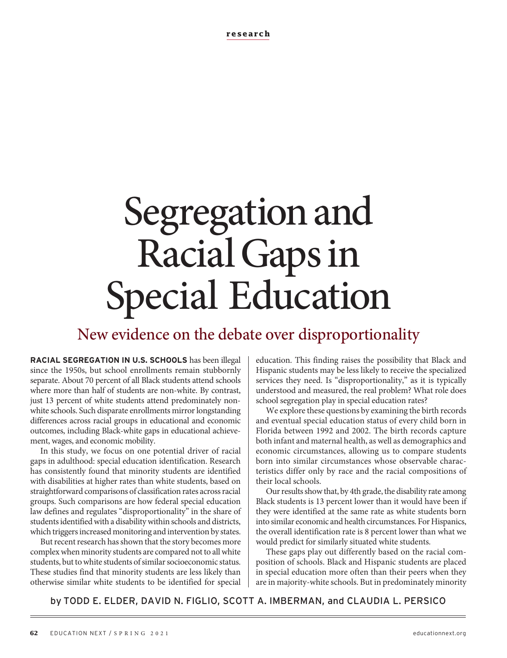# Segregation and Racial Gaps in Special Education

# New evidence on the debate over disproportionality

**RACIAL SEGREGATION IN U.S. SCHOOLS** has been illegal since the 1950s, but school enrollments remain stubbornly separate. About 70 percent of all Black students attend schools where more than half of students are non-white. By contrast, just 13 percent of white students attend predominately nonwhite schools. Such disparate enrollments mirror longstanding differences across racial groups in educational and economic outcomes, including Black-white gaps in educational achievement, wages, and economic mobility.

In this study, we focus on one potential driver of racial gaps in adulthood: special education identification. Research has consistently found that minority students are identified with disabilities at higher rates than white students, based on straightforward comparisons of classification rates across racial groups. Such comparisons are how federal special education law defines and regulates "disproportionality" in the share of students identified with a disability within schools and districts, which triggers increased monitoring and intervention by states.

But recent research has shown that the story becomes more complex when minority students are compared not to all white students, but to white students of similar socioeconomic status. These studies find that minority students are less likely than otherwise similar white students to be identified for special education. This finding raises the possibility that Black and Hispanic students may be less likely to receive the specialized services they need. Is "disproportionality," as it is typically understood and measured, the real problem? What role does school segregation play in special education rates?

We explore these questions by examining the birth records and eventual special education status of every child born in Florida between 1992 and 2002. The birth records capture both infant and maternal health, as well as demographics and economic circumstances, allowing us to compare students born into similar circumstances whose observable characteristics differ only by race and the racial compositions of their local schools.

Our results show that, by 4th grade, the disability rate among Black students is 13 percent lower than it would have been if they were identified at the same rate as white students born into similar economic and health circumstances. For Hispanics, the overall identification rate is 8 percent lower than what we would predict for similarly situated white students.

These gaps play out differently based on the racial composition of schools. Black and Hispanic students are placed in special education more often than their peers when they are in majority-white schools. But in predominately minority

by TODD E. ELDER, DAVID N. FIGLIO, SCOTT A. IMBERMAN, and CLAUDIA L. PERSICO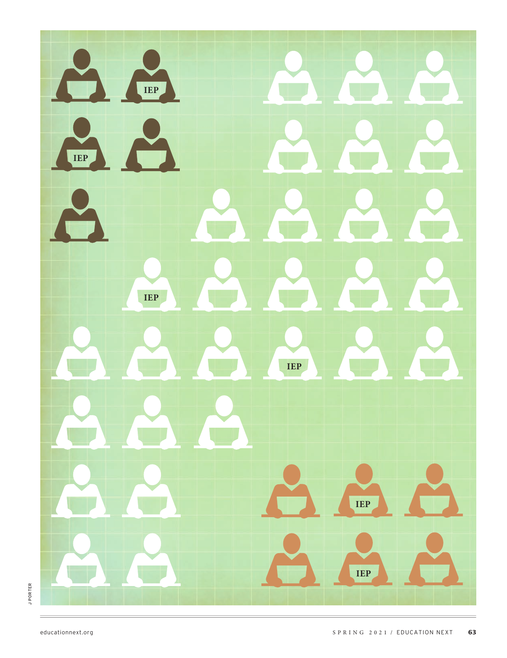

**JPORTER** J PORTER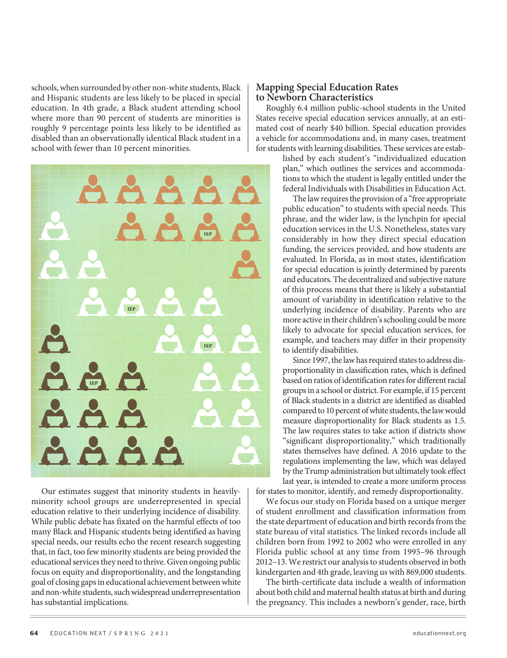schools, when surrounded by other non-white students, Black and Hispanic students are less likely to be placed in special education. In 4th grade, a Black student attending school where more than 90 percent of students are minorities is roughly 9 percentage points less likely to be identified as disabled than an observationally identical Black student in a school with fewer than 10 percent minorities.

**IEP IEP IEP IEP**

Our estimates suggest that minority students in heavilyminority school groups are underrepresented in special education relative to their underlying incidence of disability. While public debate has fixated on the harmful effects of too many Black and Hispanic students being identified as having special needs, our results echo the recent research suggesting that, in fact, too few minority students are being provided the educational services they need to thrive. Given ongoing public focus on equity and disproportionality, and the longstanding goal of closing gaps in educational achievement between white and non-white students, such widespread underrepresentation has substantial implications.

#### **Mapping Special Education Rates to Newborn Characteristics**

Roughly 6.4 million public-school students in the United States receive special education services annually, at an estimated cost of nearly \$40 billion. Special education provides a vehicle for accommodations and, in many cases, treatment for students with learning disabilities. These services are estab-

lished by each student's "individualized education plan," which outlines the services and accommodations to which the student is legally entitled under the federal Individuals with Disabilities in Education Act.

The law requires the provision of a "free appropriate public education" to students with special needs. This phrase, and the wider law, is the lynchpin for special education services in the U.S. Nonetheless, states vary considerably in how they direct special education funding, the services provided, and how students are evaluated. In Florida, as in most states, identification for special education is jointly determined by parents and educators. The decentralized and subjective nature of this process means that there is likely a substantial amount of variability in identification relative to the underlying incidence of disability. Parents who are more active in their children's schooling could be more likely to advocate for special education services, for example, and teachers may differ in their propensity to identify disabilities.

Since 1997, the law has required states to address disproportionality in classification rates, which is defined based on ratios of identification rates for different racial groups in a school or district. For example, if 15 percent of Black students in a district are identified as disabled compared to 10 percent of white students, the law would measure disproportionality for Black students as 1.5. The law requires states to take action if districts show "significant disproportionality," which traditionally states themselves have defined. A 2016 update to the regulations implementing the law, which was delayed by the Trump administration but ultimately took effect last year, is intended to create a more uniform process

for states to monitor, identify, and remedy disproportionality.

We focus our study on Florida based on a unique merger of student enrollment and classification information from the state department of education and birth records from the state bureau of vital statistics. The linked records include all children born from 1992 to 2002 who were enrolled in any Florida public school at any time from 1995–96 through 2012–13. We restrict our analysis to students observed in both kindergarten and 4th grade, leaving us with 869,000 students.

The birth-certificate data include a wealth of information about both child and maternal health status at birth and during the pregnancy. This includes a newborn's gender, race, birth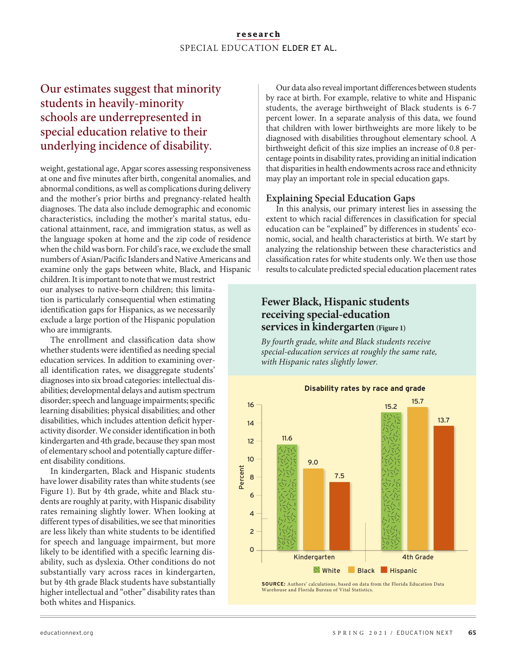#### research SPECIAL EDUCATION ELDER ET AL.

## Our estimates suggest that minority students in heavily-minority schools are underrepresented in special education relative to their underlying incidence of disability.

weight, gestational age, Apgar scores assessing responsiveness at one and five minutes after birth, congenital anomalies, and abnormal conditions, as well as complications during delivery and the mother's prior births and pregnancy-related health diagnoses. The data also include demographic and economic characteristics, including the mother's marital status, educational attainment, race, and immigration status, as well as the language spoken at home and the zip code of residence when the child was born. For child's race, we exclude the small numbers of Asian/Pacific Islanders and Native Americans and examine only the gaps between white, Black, and Hispanic

children. It is important to note that we must restrict our analyses to native-born children; this limitation is particularly consequential when estimating identification gaps for Hispanics, as we necessarily exclude a large portion of the Hispanic population who are immigrants.

The enrollment and classification data show whether students were identified as needing special education services. In addition to examining overall identification rates, we disaggregate students' diagnoses into six broad categories: intellectual disabilities; developmental delays and autism spectrum disorder; speech and language impairments; specific learning disabilities; physical disabilities; and other disabilities, which includes attention deficit hyperactivity disorder. We consider identification in both kindergarten and 4th grade, because they span most of elementary school and potentially capture different disability conditions.

In kindergarten, Black and Hispanic students have lower disability rates than white students (see Figure 1). But by 4th grade, white and Black students are roughly at parity, with Hispanic disability rates remaining slightly lower. When looking at different types of disabilities, we see that minorities are less likely than white students to be identified for speech and language impairment, but more likely to be identified with a specific learning disability, such as dyslexia. Other conditions do not substantially vary across races in kindergarten, but by 4th grade Black students have substantially higher intellectual and "other" disability rates than both whites and Hispanics.

Our data also reveal important differences between students by race at birth. For example, relative to white and Hispanic students, the average birthweight of Black students is 6-7 percent lower. In a separate analysis of this data, we found that children with lower birthweights are more likely to be diagnosed with disabilities throughout elementary school. A birthweight deficit of this size implies an increase of 0.8 percentage points in disability rates, providing an initial indication that disparities in health endowments across race and ethnicity may play an important role in special education gaps.

#### **Explaining Special Education Gaps**

In this analysis, our primary interest lies in assessing the extent to which racial differences in classification for special education can be "explained" by differences in students' economic, social, and health characteristics at birth. We start by analyzing the relationship between these characteristics and classification rates for white students only. We then use those results to calculate predicted special education placement rates

#### **Fewer Black, Hispanic students** receiving special-education services in kindergarten (Figure 1)

By fourth grade, white and Black students receive special-education services at roughly the same rate, with Hispanic rates slightly lower.



**SOURCE:** Authors' calculations, based on data from the Florida Education Data Warehouse and Florida Bureau of Vital Statistics.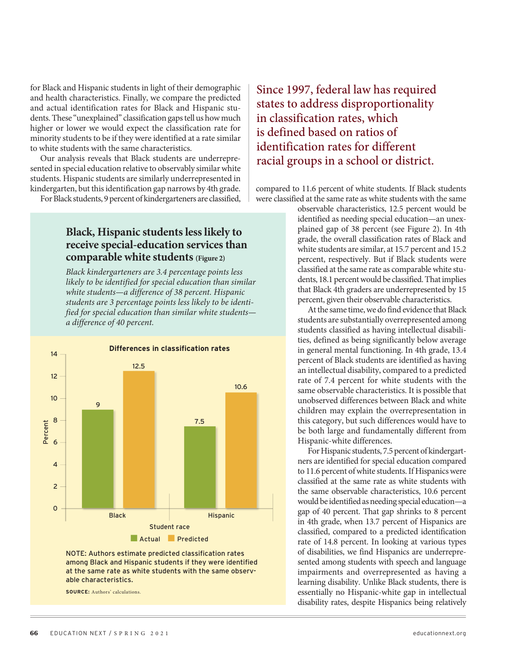for Black and Hispanic students in light of their demographic and health characteristics. Finally, we compare the predicted and actual identification rates for Black and Hispanic students. These "unexplained" classification gaps tell us how much higher or lower we would expect the classification rate for minority students to be if they were identified at a rate similar to white students with the same characteristics.

Our analysis reveals that Black students are underrepresented in special education relative to observably similar white students. Hispanic students are similarly underrepresented in kindergarten, but this identification gap narrows by 4th grade.

For Black students, 9 percent of kindergarteners are classified,

#### Black, Hispanic students less likely to receive special-education services than comparable white students (Figure 2)

Black kindergarteners are 3.4 percentage points less likely to be identified for special education than similar white students-a difference of 38 percent. Hispanic students are 3 percentage points less likely to be identified for special education than similar white studentsa difference of 40 percent.



NOTE: Authors estimate predicted classification rates among Black and Hispanic students if they were identified at the same rate as white students with the same observable characteristics.

**SOURCE:** Authors' calculations.

## Since 1997, federal law has required states to address disproportionality in classification rates, which is defined based on ratios of identification rates for different racial groups in a school or district.

compared to 11.6 percent of white students. If Black students were classified at the same rate as white students with the same

> observable characteristics, 12.5 percent would be identified as needing special education-an unexplained gap of 38 percent (see Figure 2). In 4th grade, the overall classification rates of Black and white students are similar, at 15.7 percent and 15.2 percent, respectively. But if Black students were classified at the same rate as comparable white students, 18.1 percent would be classified. That implies that Black 4th graders are underrepresented by 15 percent, given their observable characteristics.

> At the same time, we do find evidence that Black students are substantially overrepresented among students classified as having intellectual disabilities, defined as being significantly below average in general mental functioning. In 4th grade, 13.4 percent of Black students are identified as having an intellectual disability, compared to a predicted rate of 7.4 percent for white students with the same observable characteristics. It is possible that unobserved differences between Black and white children may explain the overrepresentation in this category, but such differences would have to be both large and fundamentally different from Hispanic-white differences.

> For Hispanic students, 7.5 percent of kindergartners are identified for special education compared to 11.6 percent of white students. If Hispanics were classified at the same rate as white students with the same observable characteristics, 10.6 percent would be identified as needing special education-a gap of 40 percent. That gap shrinks to 8 percent in 4th grade, when 13.7 percent of Hispanics are classified, compared to a predicted identification rate of 14.8 percent. In looking at various types of disabilities, we find Hispanics are underrepresented among students with speech and language impairments and overrepresented as having a learning disability. Unlike Black students, there is essentially no Hispanic-white gap in intellectual disability rates, despite Hispanics being relatively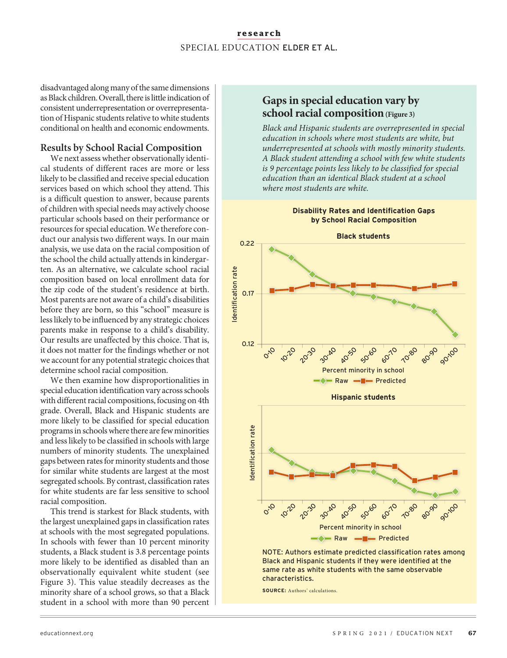#### research SPECIAL EDUCATION ELDER ET AL.

disadvantaged along many of the same dimensions as Black children. Overall, there is little indication of consistent underrepresentation or overrepresentation of Hispanic students relative to white students conditional on health and economic endowments.

#### **Results by School Racial Composition**

We next assess whether observationally identical students of different races are more or less likely to be classified and receive special education services based on which school they attend. This is a difficult question to answer, because parents of children with special needs may actively choose particular schools based on their performance or resources for special education. We therefore conduct our analysis two different ways. In our main analysis, we use data on the racial composition of the school the child actually attends in kindergarten. As an alternative, we calculate school racial composition based on local enrollment data for the zip code of the student's residence at birth. Most parents are not aware of a child's disabilities before they are born, so this "school" measure is less likely to be influenced by any strategic choices parents make in response to a child's disability. Our results are unaffected by this choice. That is, it does not matter for the findings whether or not we account for any potential strategic choices that determine school racial composition.

We then examine how disproportionalities in special education identification vary across schools with different racial compositions, focusing on 4th grade. Overall, Black and Hispanic students are more likely to be classified for special education programs in schools where there are few minorities and less likely to be classified in schools with large numbers of minority students. The unexplained gaps between rates for minority students and those for similar white students are largest at the most segregated schools. By contrast, classification rates for white students are far less sensitive to school racial composition.

This trend is starkest for Black students, with the largest unexplained gaps in classification rates at schools with the most segregated populations. In schools with fewer than 10 percent minority students, a Black student is 3.8 percentage points more likely to be identified as disabled than an observationally equivalent white student (see Figure 3). This value steadily decreases as the minority share of a school grows, so that a Black student in a school with more than 90 percent

#### Gaps in special education vary by school racial composition (Figure 3)

Black and Hispanic students are overrepresented in special education in schools where most students are white, but underrepresented at schools with mostly minority students. A Black student attending a school with few white students is 9 percentage points less likely to be classified for special education than an identical Black student at a school where most students are white.



NOTE: Authors estimate predicted classification rates among Black and Hispanic students if they were identified at the same rate as white students with the same observable characteristics.

**SOURCE:** Authors' calculations.